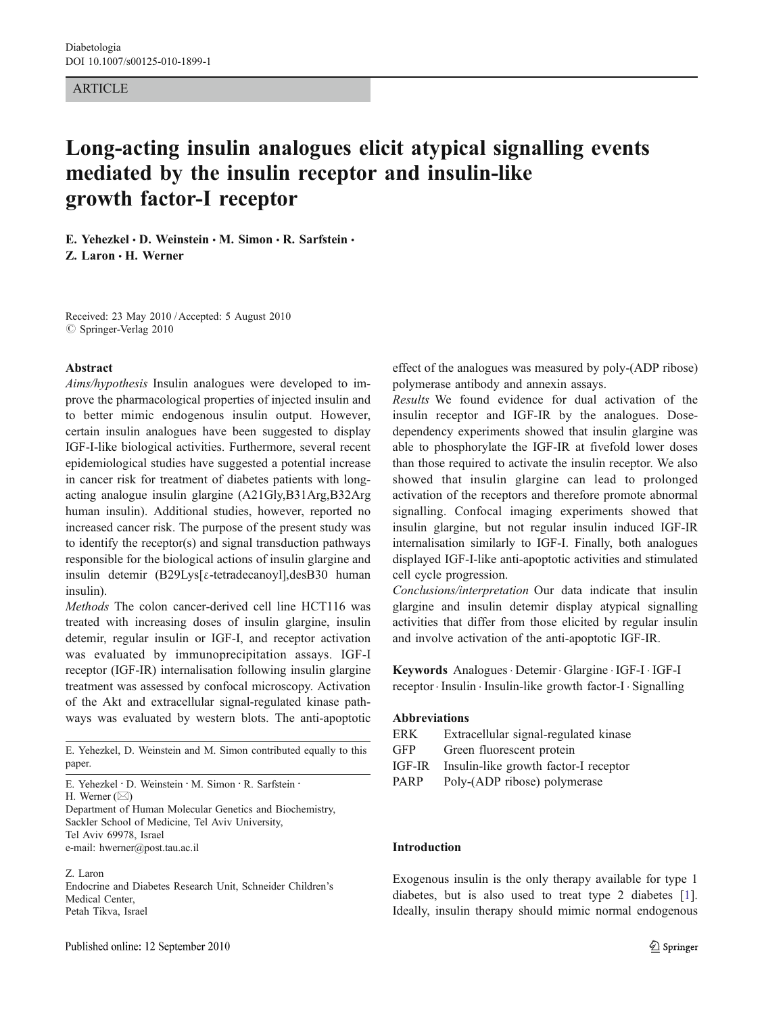### ARTICLE

# Long-acting insulin analogues elicit atypical signalling events mediated by the insulin receptor and insulin-like growth factor-I receptor

E. Yehezkel  $\cdot$  D. Weinstein  $\cdot$  M. Simon  $\cdot$  R. Sarfstein  $\cdot$ Z. Laron . H. Werner

Received: 23 May 2010 /Accepted: 5 August 2010  $\oslash$  Springer-Verlag 2010

#### Abstract

Aims/hypothesis Insulin analogues were developed to improve the pharmacological properties of injected insulin and to better mimic endogenous insulin output. However, certain insulin analogues have been suggested to display IGF-I-like biological activities. Furthermore, several recent epidemiological studies have suggested a potential increase in cancer risk for treatment of diabetes patients with longacting analogue insulin glargine (A21Gly,B31Arg,B32Arg human insulin). Additional studies, however, reported no increased cancer risk. The purpose of the present study was to identify the receptor(s) and signal transduction pathways responsible for the biological actions of insulin glargine and insulin detemir (B29Lys[ε-tetradecanoyl],desB30 human insulin).

Methods The colon cancer-derived cell line HCT116 was treated with increasing doses of insulin glargine, insulin detemir, regular insulin or IGF-I, and receptor activation was evaluated by immunoprecipitation assays. IGF-I receptor (IGF-IR) internalisation following insulin glargine treatment was assessed by confocal microscopy. Activation of the Akt and extracellular signal-regulated kinase pathways was evaluated by western blots. The anti-apoptotic

E. Yehezkel, D. Weinstein and M. Simon contributed equally to this paper.

H. Werner  $(\boxtimes)$ 

Department of Human Molecular Genetics and Biochemistry, Sackler School of Medicine, Tel Aviv University, Tel Aviv 69978, Israel e-mail: hwerner@post.tau.ac.il

#### Z. Laron

Endocrine and Diabetes Research Unit, Schneider Children's Medical Center, Petah Tikva, Israel

effect of the analogues was measured by poly-(ADP ribose) polymerase antibody and annexin assays.

Results We found evidence for dual activation of the insulin receptor and IGF-IR by the analogues. Dosedependency experiments showed that insulin glargine was able to phosphorylate the IGF-IR at fivefold lower doses than those required to activate the insulin receptor. We also showed that insulin glargine can lead to prolonged activation of the receptors and therefore promote abnormal signalling. Confocal imaging experiments showed that insulin glargine, but not regular insulin induced IGF-IR internalisation similarly to IGF-I. Finally, both analogues displayed IGF-I-like anti-apoptotic activities and stimulated cell cycle progression.

Conclusions/interpretation Our data indicate that insulin glargine and insulin detemir display atypical signalling activities that differ from those elicited by regular insulin and involve activation of the anti-apoptotic IGF-IR.

Keywords Analogues · Detemir · Glargine · IGF-I · IGF-I receptor. Insulin . Insulin-like growth factor-I . Signalling

## Abbreviations

| ERK | Extracellular signal-regulated kinase |  |
|-----|---------------------------------------|--|
|-----|---------------------------------------|--|

- GFP Green fluorescent protein
- IGF-IR Insulin-like growth factor-I receptor
- PARP Poly-(ADP ribose) polymerase

#### Introduction

Exogenous insulin is the only therapy available for type 1 diabetes, but is also used to treat type 2 diabetes [[1\]](#page-8-0). Ideally, insulin therapy should mimic normal endogenous

E. Yehezkel : D. Weinstein : M. Simon : R. Sarfstein :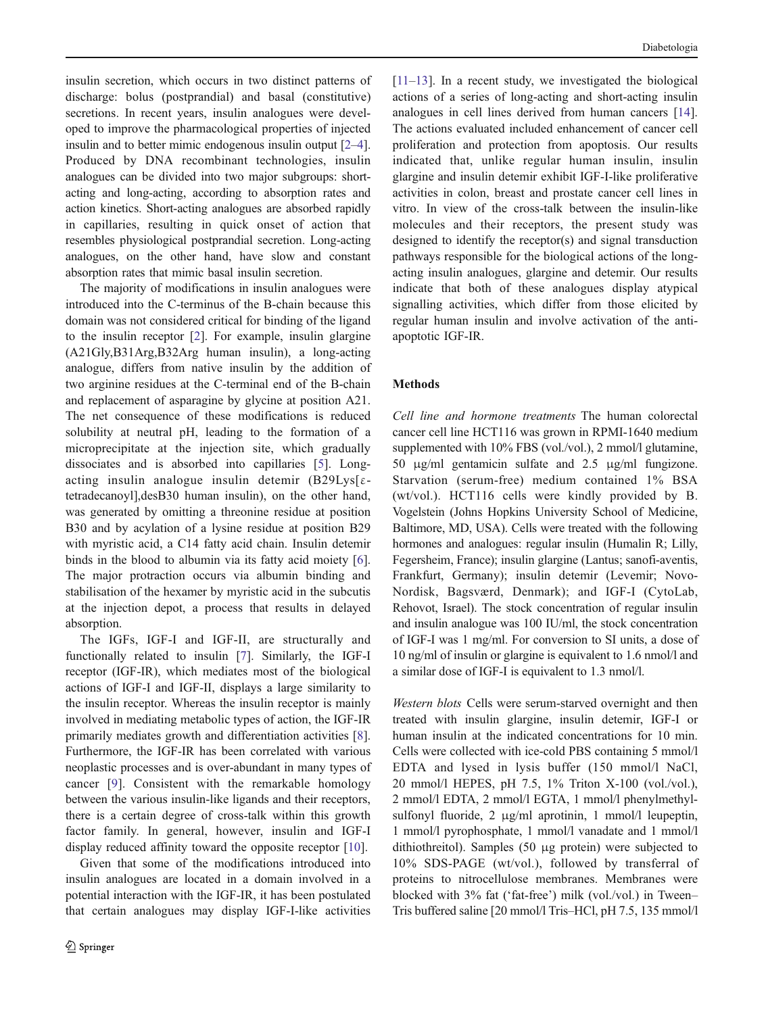insulin secretion, which occurs in two distinct patterns of discharge: bolus (postprandial) and basal (constitutive) secretions. In recent years, insulin analogues were developed to improve the pharmacological properties of injected insulin and to better mimic endogenous insulin output [[2](#page-8-0)–[4\]](#page-8-0). Produced by DNA recombinant technologies, insulin analogues can be divided into two major subgroups: shortacting and long-acting, according to absorption rates and action kinetics. Short-acting analogues are absorbed rapidly in capillaries, resulting in quick onset of action that resembles physiological postprandial secretion. Long-acting analogues, on the other hand, have slow and constant absorption rates that mimic basal insulin secretion.

The majority of modifications in insulin analogues were introduced into the C-terminus of the B-chain because this domain was not considered critical for binding of the ligand to the insulin receptor [\[2](#page-8-0)]. For example, insulin glargine (A21Gly,B31Arg,B32Arg human insulin), a long-acting analogue, differs from native insulin by the addition of two arginine residues at the C-terminal end of the B-chain and replacement of asparagine by glycine at position A21. The net consequence of these modifications is reduced solubility at neutral pH, leading to the formation of a microprecipitate at the injection site, which gradually dissociates and is absorbed into capillaries [[5\]](#page-8-0). Longacting insulin analogue insulin detemir  $(B29Lys[\epsilon$ tetradecanoyl],desB30 human insulin), on the other hand, was generated by omitting a threonine residue at position B30 and by acylation of a lysine residue at position B29 with myristic acid, a C14 fatty acid chain. Insulin detemir binds in the blood to albumin via its fatty acid moiety [\[6](#page-8-0)]. The major protraction occurs via albumin binding and stabilisation of the hexamer by myristic acid in the subcutis at the injection depot, a process that results in delayed absorption.

The IGFs, IGF-I and IGF-II, are structurally and functionally related to insulin [\[7](#page-8-0)]. Similarly, the IGF-I receptor (IGF-IR), which mediates most of the biological actions of IGF-I and IGF-II, displays a large similarity to the insulin receptor. Whereas the insulin receptor is mainly involved in mediating metabolic types of action, the IGF-IR primarily mediates growth and differentiation activities [\[8](#page-8-0)]. Furthermore, the IGF-IR has been correlated with various neoplastic processes and is over-abundant in many types of cancer [[9](#page-8-0)]. Consistent with the remarkable homology between the various insulin-like ligands and their receptors, there is a certain degree of cross-talk within this growth factor family. In general, however, insulin and IGF-I display reduced affinity toward the opposite receptor [\[10](#page-8-0)].

Given that some of the modifications introduced into insulin analogues are located in a domain involved in a potential interaction with the IGF-IR, it has been postulated that certain analogues may display IGF-I-like activities [\[11](#page-8-0)–[13](#page-8-0)]. In a recent study, we investigated the biological actions of a series of long-acting and short-acting insulin analogues in cell lines derived from human cancers [[14\]](#page-8-0). The actions evaluated included enhancement of cancer cell proliferation and protection from apoptosis. Our results indicated that, unlike regular human insulin, insulin glargine and insulin detemir exhibit IGF-I-like proliferative activities in colon, breast and prostate cancer cell lines in vitro. In view of the cross-talk between the insulin-like molecules and their receptors, the present study was designed to identify the receptor(s) and signal transduction pathways responsible for the biological actions of the longacting insulin analogues, glargine and detemir. Our results indicate that both of these analogues display atypical signalling activities, which differ from those elicited by regular human insulin and involve activation of the antiapoptotic IGF-IR.

## Methods

Cell line and hormone treatments The human colorectal cancer cell line HCT116 was grown in RPMI-1640 medium supplemented with 10% FBS (vol./vol.), 2 mmol/l glutamine, 50 μg/ml gentamicin sulfate and 2.5 μg/ml fungizone. Starvation (serum-free) medium contained 1% BSA (wt/vol.). HCT116 cells were kindly provided by B. Vogelstein (Johns Hopkins University School of Medicine, Baltimore, MD, USA). Cells were treated with the following hormones and analogues: regular insulin (Humalin R; Lilly, Fegersheim, France); insulin glargine (Lantus; sanofi-aventis, Frankfurt, Germany); insulin detemir (Levemir; Novo-Nordisk, Bagsværd, Denmark); and IGF-I (CytoLab, Rehovot, Israel). The stock concentration of regular insulin and insulin analogue was 100 IU/ml, the stock concentration of IGF-I was 1 mg/ml. For conversion to SI units, a dose of 10 ng/ml of insulin or glargine is equivalent to 1.6 nmol/l and a similar dose of IGF-I is equivalent to 1.3 nmol/l.

Western blots Cells were serum-starved overnight and then treated with insulin glargine, insulin detemir, IGF-I or human insulin at the indicated concentrations for 10 min. Cells were collected with ice-cold PBS containing 5 mmol/l EDTA and lysed in lysis buffer (150 mmol/l NaCl, 20 mmol/l HEPES, pH 7.5, 1% Triton X-100 (vol./vol.), 2 mmol/l EDTA, 2 mmol/l EGTA, 1 mmol/l phenylmethylsulfonyl fluoride, 2 μg/ml aprotinin, 1 mmol/l leupeptin, 1 mmol/l pyrophosphate, 1 mmol/l vanadate and 1 mmol/l dithiothreitol). Samples (50 μg protein) were subjected to 10% SDS-PAGE (wt/vol.), followed by transferral of proteins to nitrocellulose membranes. Membranes were blocked with 3% fat ('fat-free') milk (vol./vol.) in Tween– Tris buffered saline [20 mmol/l Tris–HCl, pH 7.5, 135 mmol/l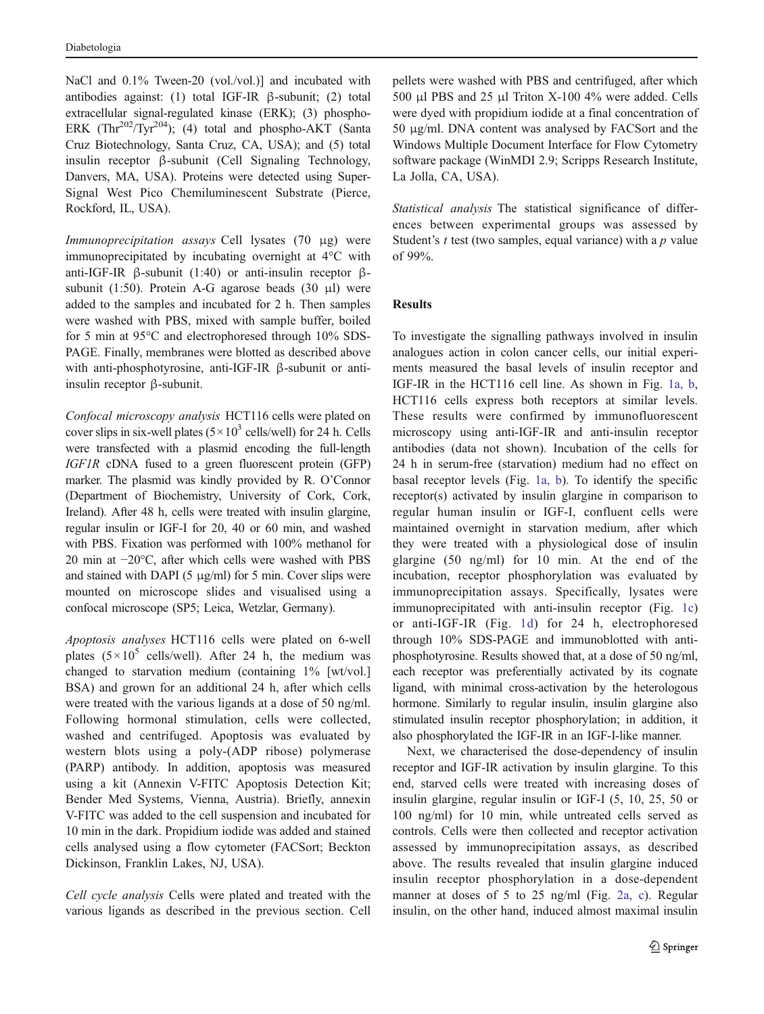NaCl and 0.1% Tween-20 (vol./vol.)] and incubated with antibodies against: (1) total IGF-IR β-subunit; (2) total extracellular signal-regulated kinase (ERK); (3) phospho-ERK  $(Thr^{202}/Tyr^{204})$ ; (4) total and phospho-AKT (Santa Cruz Biotechnology, Santa Cruz, CA, USA); and (5) total insulin receptor β-subunit (Cell Signaling Technology, Danvers, MA, USA). Proteins were detected using Super-Signal West Pico Chemiluminescent Substrate (Pierce, Rockford, IL, USA).

Immunoprecipitation assays Cell lysates (70 μg) were immunoprecipitated by incubating overnight at 4°C with anti-IGF-IR β-subunit (1:40) or anti-insulin receptor βsubunit (1:50). Protein A-G agarose beads (30  $\mu$ l) were added to the samples and incubated for 2 h. Then samples were washed with PBS, mixed with sample buffer, boiled for 5 min at 95°C and electrophoresed through 10% SDS-PAGE. Finally, membranes were blotted as described above with anti-phosphotyrosine, anti-IGF-IR β-subunit or antiinsulin receptor β-subunit.

Confocal microscopy analysis HCT116 cells were plated on cover slips in six-well plates  $(5 \times 10^3 \text{ cells/well})$  for 24 h. Cells were transfected with a plasmid encoding the full-length IGF1R cDNA fused to a green fluorescent protein (GFP) marker. The plasmid was kindly provided by R. O'Connor (Department of Biochemistry, University of Cork, Cork, Ireland). After 48 h, cells were treated with insulin glargine, regular insulin or IGF-I for 20, 40 or 60 min, and washed with PBS. Fixation was performed with 100% methanol for 20 min at −20°C, after which cells were washed with PBS and stained with DAPI (5  $\mu$ g/ml) for 5 min. Cover slips were mounted on microscope slides and visualised using a confocal microscope (SP5; Leica, Wetzlar, Germany).

Apoptosis analyses HCT116 cells were plated on 6-well plates  $(5 \times 10^5 \text{ cells/well})$ . After 24 h, the medium was changed to starvation medium (containing 1% [wt/vol.] BSA) and grown for an additional 24 h, after which cells were treated with the various ligands at a dose of 50 ng/ml. Following hormonal stimulation, cells were collected, washed and centrifuged. Apoptosis was evaluated by western blots using a poly-(ADP ribose) polymerase (PARP) antibody. In addition, apoptosis was measured using a kit (Annexin V-FITC Apoptosis Detection Kit; Bender Med Systems, Vienna, Austria). Briefly, annexin V-FITC was added to the cell suspension and incubated for 10 min in the dark. Propidium iodide was added and stained cells analysed using a flow cytometer (FACSort; Beckton Dickinson, Franklin Lakes, NJ, USA).

Cell cycle analysis Cells were plated and treated with the various ligands as described in the previous section. Cell pellets were washed with PBS and centrifuged, after which 500 μl PBS and 25 μl Triton X-100 4% were added. Cells were dyed with propidium iodide at a final concentration of 50 μg/ml. DNA content was analysed by FACSort and the Windows Multiple Document Interface for Flow Cytometry software package (WinMDI 2.9; Scripps Research Institute, La Jolla, CA, USA).

Statistical analysis The statistical significance of differences between experimental groups was assessed by Student's  $t$  test (two samples, equal variance) with a  $p$  value of 99%.

## **Results**

To investigate the signalling pathways involved in insulin analogues action in colon cancer cells, our initial experiments measured the basal levels of insulin receptor and IGF-IR in the HCT116 cell line. As shown in Fig. [1a, b,](#page-3-0) HCT116 cells express both receptors at similar levels. These results were confirmed by immunofluorescent microscopy using anti-IGF-IR and anti-insulin receptor antibodies (data not shown). Incubation of the cells for 24 h in serum-free (starvation) medium had no effect on basal receptor levels (Fig. [1a, b](#page-3-0)). To identify the specific receptor(s) activated by insulin glargine in comparison to regular human insulin or IGF-I, confluent cells were maintained overnight in starvation medium, after which they were treated with a physiological dose of insulin glargine (50 ng/ml) for 10 min. At the end of the incubation, receptor phosphorylation was evaluated by immunoprecipitation assays. Specifically, lysates were immunoprecipitated with anti-insulin receptor (Fig. [1c](#page-3-0)) or anti-IGF-IR (Fig. [1d](#page-3-0)) for 24 h, electrophoresed through 10% SDS-PAGE and immunoblotted with antiphosphotyrosine. Results showed that, at a dose of 50 ng/ml, each receptor was preferentially activated by its cognate ligand, with minimal cross-activation by the heterologous hormone. Similarly to regular insulin, insulin glargine also stimulated insulin receptor phosphorylation; in addition, it also phosphorylated the IGF-IR in an IGF-I-like manner.

Next, we characterised the dose-dependency of insulin receptor and IGF-IR activation by insulin glargine. To this end, starved cells were treated with increasing doses of insulin glargine, regular insulin or IGF-I (5, 10, 25, 50 or 100 ng/ml) for 10 min, while untreated cells served as controls. Cells were then collected and receptor activation assessed by immunoprecipitation assays, as described above. The results revealed that insulin glargine induced insulin receptor phosphorylation in a dose-dependent manner at doses of 5 to 25 ng/ml (Fig. [2a, c](#page-4-0)). Regular insulin, on the other hand, induced almost maximal insulin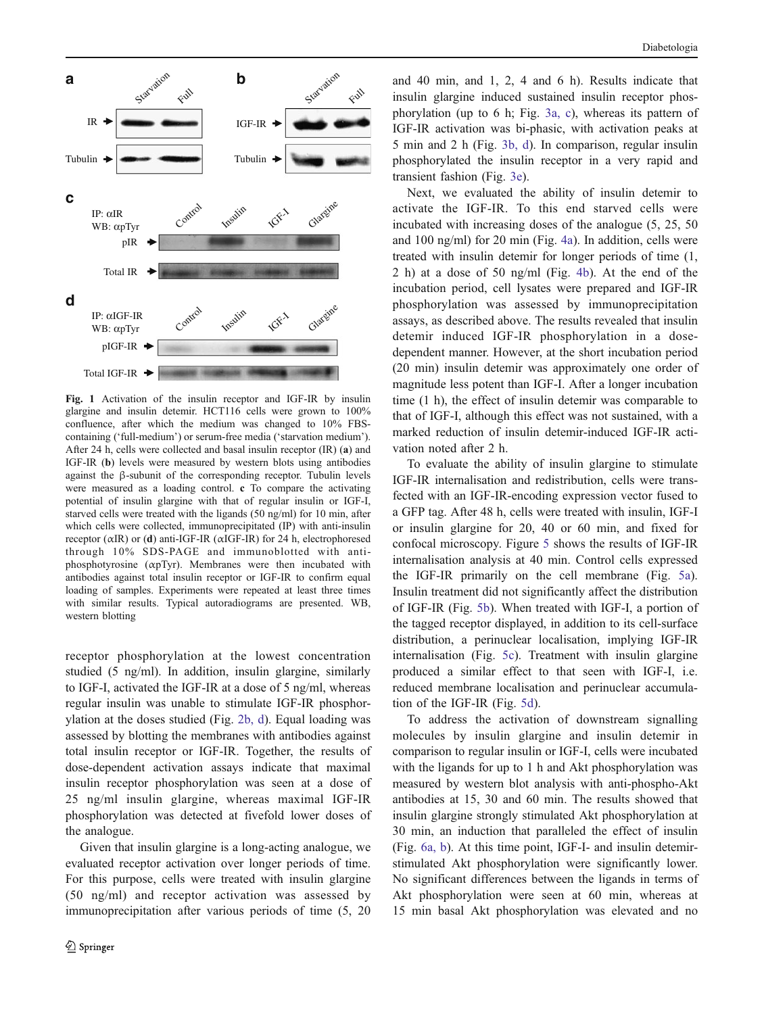<span id="page-3-0"></span>

Fig. 1 Activation of the insulin receptor and IGF-IR by insulin glargine and insulin detemir. HCT116 cells were grown to 100% confluence, after which the medium was changed to 10% FBScontaining ('full-medium') or serum-free media ('starvation medium'). After 24 h, cells were collected and basal insulin receptor (IR) (a) and IGF-IR (b) levels were measured by western blots using antibodies against the β-subunit of the corresponding receptor. Tubulin levels were measured as a loading control. c To compare the activating potential of insulin glargine with that of regular insulin or IGF-I, starved cells were treated with the ligands (50 ng/ml) for 10 min, after which cells were collected, immunoprecipitated (IP) with anti-insulin receptor (αIR) or (d) anti-IGF-IR (αIGF-IR) for 24 h, electrophoresed through 10% SDS-PAGE and immunoblotted with antiphosphotyrosine (αpTyr). Membranes were then incubated with antibodies against total insulin receptor or IGF-IR to confirm equal loading of samples. Experiments were repeated at least three times with similar results. Typical autoradiograms are presented. WB, western blotting

receptor phosphorylation at the lowest concentration studied (5 ng/ml). In addition, insulin glargine, similarly to IGF-I, activated the IGF-IR at a dose of 5 ng/ml, whereas regular insulin was unable to stimulate IGF-IR phosphorylation at the doses studied (Fig. [2b, d](#page-4-0)). Equal loading was assessed by blotting the membranes with antibodies against total insulin receptor or IGF-IR. Together, the results of dose-dependent activation assays indicate that maximal insulin receptor phosphorylation was seen at a dose of 25 ng/ml insulin glargine, whereas maximal IGF-IR phosphorylation was detected at fivefold lower doses of the analogue.

Given that insulin glargine is a long-acting analogue, we evaluated receptor activation over longer periods of time. For this purpose, cells were treated with insulin glargine (50 ng/ml) and receptor activation was assessed by immunoprecipitation after various periods of time (5, 20

and 40 min, and 1, 2, 4 and 6 h). Results indicate that insulin glargine induced sustained insulin receptor phosphorylation (up to 6 h; Fig. [3a, c](#page-4-0)), whereas its pattern of IGF-IR activation was bi-phasic, with activation peaks at 5 min and 2 h (Fig. [3b, d](#page-4-0)). In comparison, regular insulin phosphorylated the insulin receptor in a very rapid and transient fashion (Fig. [3e](#page-4-0)).

Next, we evaluated the ability of insulin detemir to activate the IGF-IR. To this end starved cells were incubated with increasing doses of the analogue (5, 25, 50 and 100 ng/ml) for 20 min (Fig. [4a\)](#page-5-0). In addition, cells were treated with insulin detemir for longer periods of time (1, 2 h) at a dose of 50 ng/ml (Fig. [4b\)](#page-5-0). At the end of the incubation period, cell lysates were prepared and IGF-IR phosphorylation was assessed by immunoprecipitation assays, as described above. The results revealed that insulin detemir induced IGF-IR phosphorylation in a dosedependent manner. However, at the short incubation period (20 min) insulin detemir was approximately one order of magnitude less potent than IGF-I. After a longer incubation time (1 h), the effect of insulin detemir was comparable to that of IGF-I, although this effect was not sustained, with a marked reduction of insulin detemir-induced IGF-IR activation noted after 2 h.

To evaluate the ability of insulin glargine to stimulate IGF-IR internalisation and redistribution, cells were transfected with an IGF-IR-encoding expression vector fused to a GFP tag. After 48 h, cells were treated with insulin, IGF-I or insulin glargine for 20, 40 or 60 min, and fixed for confocal microscopy. Figure [5](#page-5-0) shows the results of IGF-IR internalisation analysis at 40 min. Control cells expressed the IGF-IR primarily on the cell membrane (Fig. [5a\)](#page-5-0). Insulin treatment did not significantly affect the distribution of IGF-IR (Fig. [5b\)](#page-5-0). When treated with IGF-I, a portion of the tagged receptor displayed, in addition to its cell-surface distribution, a perinuclear localisation, implying IGF-IR internalisation (Fig. [5c](#page-5-0)). Treatment with insulin glargine produced a similar effect to that seen with IGF-I, i.e. reduced membrane localisation and perinuclear accumulation of the IGF-IR (Fig. [5d](#page-5-0)).

To address the activation of downstream signalling molecules by insulin glargine and insulin detemir in comparison to regular insulin or IGF-I, cells were incubated with the ligands for up to 1 h and Akt phosphorylation was measured by western blot analysis with anti-phospho-Akt antibodies at 15, 30 and 60 min. The results showed that insulin glargine strongly stimulated Akt phosphorylation at 30 min, an induction that paralleled the effect of insulin (Fig. [6a, b](#page-6-0)). At this time point, IGF-I- and insulin detemirstimulated Akt phosphorylation were significantly lower. No significant differences between the ligands in terms of Akt phosphorylation were seen at 60 min, whereas at 15 min basal Akt phosphorylation was elevated and no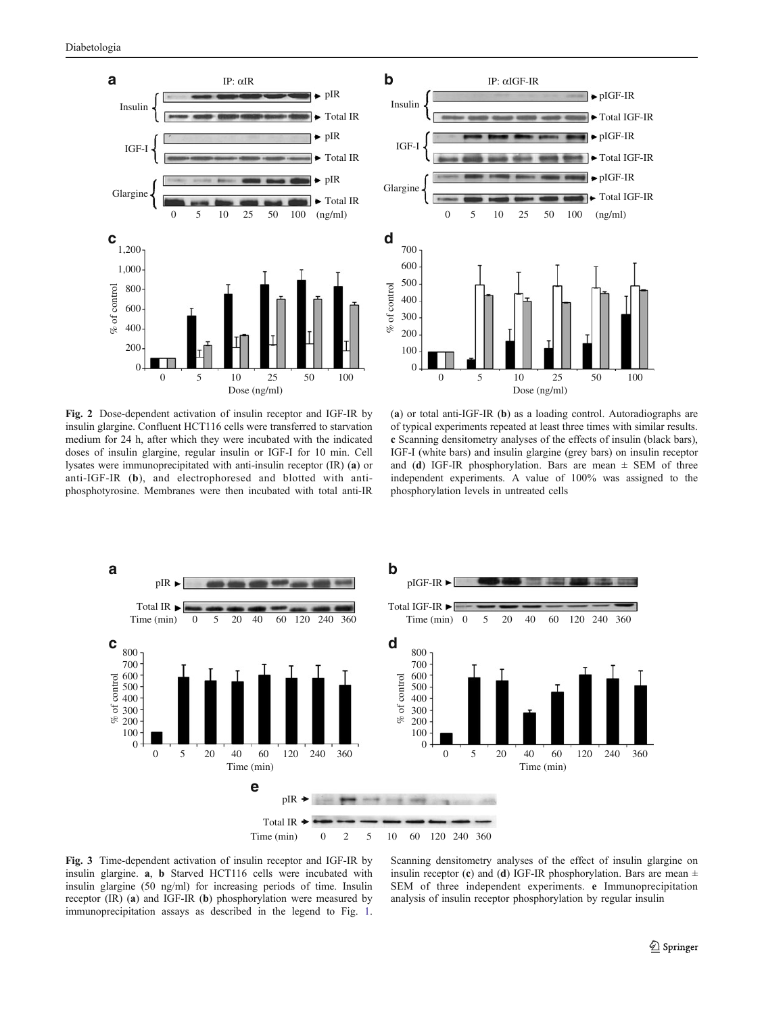<span id="page-4-0"></span>





(a) or total anti-IGF-IR (b) as a loading control. Autoradiographs are of typical experiments repeated at least three times with similar results. c Scanning densitometry analyses of the effects of insulin (black bars), IGF-I (white bars) and insulin glargine (grey bars) on insulin receptor and (d) IGF-IR phosphorylation. Bars are mean  $\pm$  SEM of three independent experiments. A value of 100% was assigned to the phosphorylation levels in untreated cells



Fig. 3 Time-dependent activation of insulin receptor and IGF-IR by insulin glargine. a, b Starved HCT116 cells were incubated with insulin glargine (50 ng/ml) for increasing periods of time. Insulin receptor (IR) (a) and IGF-IR (b) phosphorylation were measured by immunoprecipitation assays as described in the legend to Fig. [1](#page-3-0).

Scanning densitometry analyses of the effect of insulin glargine on insulin receptor (c) and (d) IGF-IR phosphorylation. Bars are mean  $\pm$ SEM of three independent experiments. e Immunoprecipitation analysis of insulin receptor phosphorylation by regular insulin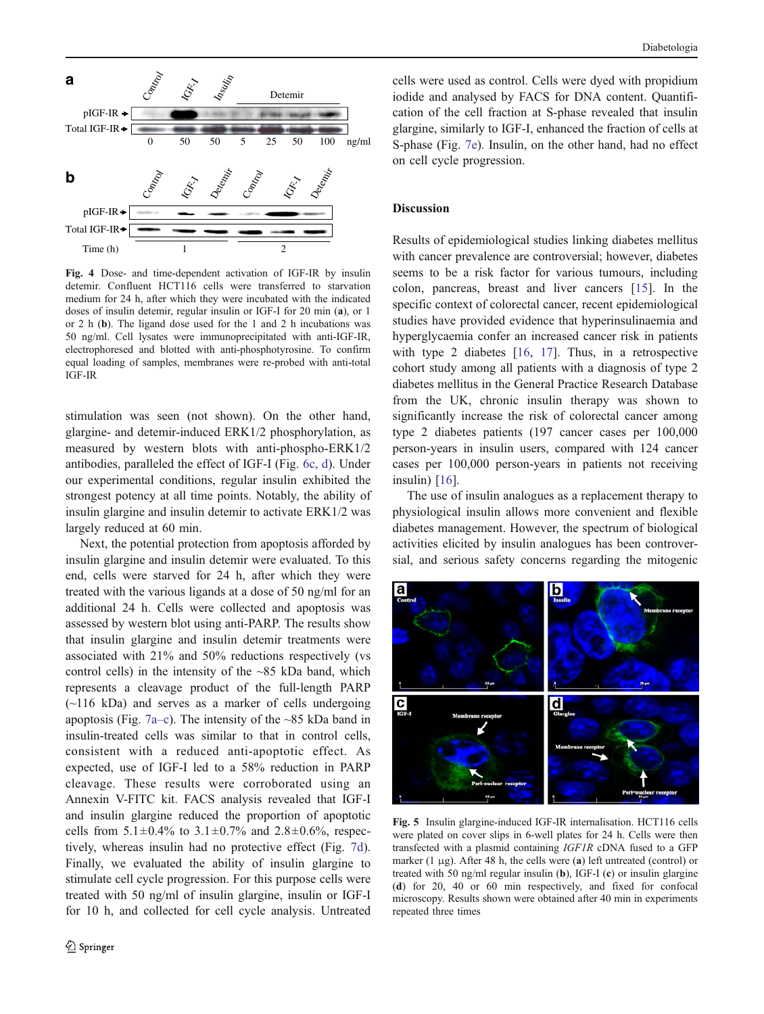<span id="page-5-0"></span>

Fig. 4 Dose- and time-dependent activation of IGF-IR by insulin detemir. Confluent HCT116 cells were transferred to starvation medium for 24 h, after which they were incubated with the indicated doses of insulin detemir, regular insulin or IGF-I for 20 min (a), or 1 or 2 h (b). The ligand dose used for the 1 and 2 h incubations was 50 ng/ml. Cell lysates were immunoprecipitated with anti-IGF-IR, electrophoresed and blotted with anti-phosphotyrosine. To confirm equal loading of samples, membranes were re-probed with anti-total IGF-IR

stimulation was seen (not shown). On the other hand, glargine- and detemir-induced ERK1/2 phosphorylation, as measured by western blots with anti-phospho-ERK1/2 antibodies, paralleled the effect of IGF-I (Fig. [6c, d\)](#page-6-0). Under our experimental conditions, regular insulin exhibited the strongest potency at all time points. Notably, the ability of insulin glargine and insulin detemir to activate ERK1/2 was largely reduced at 60 min.

Next, the potential protection from apoptosis afforded by insulin glargine and insulin detemir were evaluated. To this end, cells were starved for 24 h, after which they were treated with the various ligands at a dose of 50 ng/ml for an additional 24 h. Cells were collected and apoptosis was assessed by western blot using anti-PARP. The results show that insulin glargine and insulin detemir treatments were associated with 21% and 50% reductions respectively (vs control cells) in the intensity of the ~85 kDa band, which represents a cleavage product of the full-length PARP  $(\sim 116 \text{ kDa})$  and serves as a marker of cells undergoing apoptosis (Fig. [7a](#page-7-0)–c). The intensity of the  $\sim$ 85 kDa band in insulin-treated cells was similar to that in control cells, consistent with a reduced anti-apoptotic effect. As expected, use of IGF-I led to a 58% reduction in PARP cleavage. These results were corroborated using an Annexin V-FITC kit. FACS analysis revealed that IGF-I and insulin glargine reduced the proportion of apoptotic cells from  $5.1 \pm 0.4\%$  to  $3.1 \pm 0.7\%$  and  $2.8 \pm 0.6\%$ , respectively, whereas insulin had no protective effect (Fig. [7d](#page-7-0)). Finally, we evaluated the ability of insulin glargine to stimulate cell cycle progression. For this purpose cells were treated with 50 ng/ml of insulin glargine, insulin or IGF-I for 10 h, and collected for cell cycle analysis. Untreated

cells were used as control. Cells were dyed with propidium iodide and analysed by FACS for DNA content. Quantification of the cell fraction at S-phase revealed that insulin glargine, similarly to IGF-I, enhanced the fraction of cells at S-phase (Fig. [7e](#page-7-0)). Insulin, on the other hand, had no effect on cell cycle progression.

## Discussion

Results of epidemiological studies linking diabetes mellitus with cancer prevalence are controversial; however, diabetes seems to be a risk factor for various tumours, including colon, pancreas, breast and liver cancers [\[15](#page-8-0)]. In the specific context of colorectal cancer, recent epidemiological studies have provided evidence that hyperinsulinaemia and hyperglycaemia confer an increased cancer risk in patients with type 2 diabetes [\[16](#page-8-0), [17](#page-8-0)]. Thus, in a retrospective cohort study among all patients with a diagnosis of type 2 diabetes mellitus in the General Practice Research Database from the UK, chronic insulin therapy was shown to significantly increase the risk of colorectal cancer among type 2 diabetes patients (197 cancer cases per 100,000 person-years in insulin users, compared with 124 cancer cases per 100,000 person-years in patients not receiving insulin) [[16\]](#page-8-0).

The use of insulin analogues as a replacement therapy to physiological insulin allows more convenient and flexible diabetes management. However, the spectrum of biological activities elicited by insulin analogues has been controversial, and serious safety concerns regarding the mitogenic



Fig. 5 Insulin glargine-induced IGF-IR internalisation. HCT116 cells were plated on cover slips in 6-well plates for 24 h. Cells were then transfected with a plasmid containing IGF1R cDNA fused to a GFP marker (1  $\mu$ g). After 48 h, the cells were (a) left untreated (control) or treated with 50 ng/ml regular insulin (b), IGF-I (c) or insulin glargine (d) for 20, 40 or 60 min respectively, and fixed for confocal microscopy. Results shown were obtained after 40 min in experiments repeated three times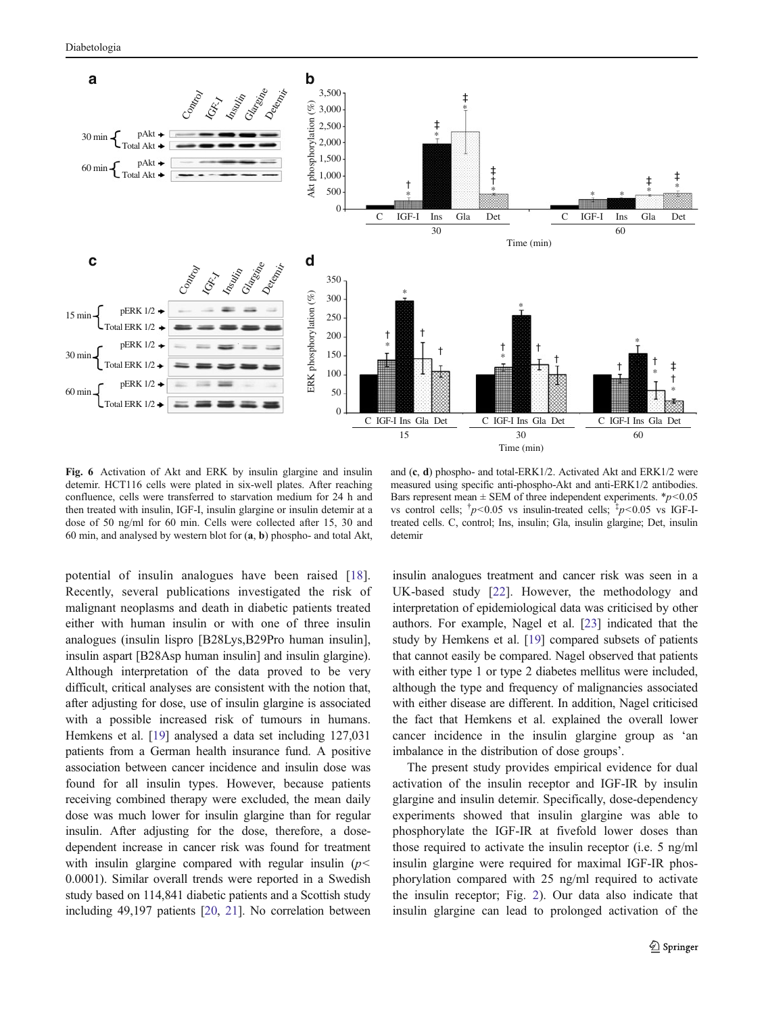<span id="page-6-0"></span>

Fig. 6 Activation of Akt and ERK by insulin glargine and insulin detemir. HCT116 cells were plated in six-well plates. After reaching confluence, cells were transferred to starvation medium for 24 h and then treated with insulin, IGF-I, insulin glargine or insulin detemir at a dose of 50 ng/ml for 60 min. Cells were collected after 15, 30 and 60 min, and analysed by western blot for (a, b) phospho- and total Akt,

and (c, d) phospho- and total-ERK1/2. Activated Akt and ERK1/2 were measured using specific anti-phospho-Akt and anti-ERK1/2 antibodies. Bars represent mean  $\pm$  SEM of three independent experiments. \* $p$ <0.05 vs control cells;  $\frac{1}{p}$  < 0.05 vs insulin-treated cells;  $\frac{1}{p}$  < 0.05 vs IGF-Itreated cells. C, control; Ins, insulin; Gla, insulin glargine; Det, insulin detemir

potential of insulin analogues have been raised [\[18](#page-8-0)]. Recently, several publications investigated the risk of malignant neoplasms and death in diabetic patients treated either with human insulin or with one of three insulin analogues (insulin lispro [B28Lys,B29Pro human insulin], insulin aspart [B28Asp human insulin] and insulin glargine). Although interpretation of the data proved to be very difficult, critical analyses are consistent with the notion that, after adjusting for dose, use of insulin glargine is associated with a possible increased risk of tumours in humans. Hemkens et al. [\[19\]](#page-8-0) analysed a data set including 127,031 patients from a German health insurance fund. A positive association between cancer incidence and insulin dose was found for all insulin types. However, because patients receiving combined therapy were excluded, the mean daily dose was much lower for insulin glargine than for regular insulin. After adjusting for the dose, therefore, a dosedependent increase in cancer risk was found for treatment with insulin glargine compared with regular insulin  $(p<$ 0.0001). Similar overall trends were reported in a Swedish study based on 114,841 diabetic patients and a Scottish study including 49,197 patients [[20](#page-8-0), [21\]](#page-8-0). No correlation between insulin analogues treatment and cancer risk was seen in a UK-based study [\[22](#page-8-0)]. However, the methodology and interpretation of epidemiological data was criticised by other authors. For example, Nagel et al. [[23\]](#page-8-0) indicated that the study by Hemkens et al. [\[19\]](#page-8-0) compared subsets of patients that cannot easily be compared. Nagel observed that patients with either type 1 or type 2 diabetes mellitus were included, although the type and frequency of malignancies associated with either disease are different. In addition, Nagel criticised the fact that Hemkens et al. explained the overall lower cancer incidence in the insulin glargine group as 'an imbalance in the distribution of dose groups'.

The present study provides empirical evidence for dual activation of the insulin receptor and IGF-IR by insulin glargine and insulin detemir. Specifically, dose-dependency experiments showed that insulin glargine was able to phosphorylate the IGF-IR at fivefold lower doses than those required to activate the insulin receptor (i.e. 5 ng/ml insulin glargine were required for maximal IGF-IR phosphorylation compared with 25 ng/ml required to activate the insulin receptor; Fig. [2](#page-4-0)). Our data also indicate that insulin glargine can lead to prolonged activation of the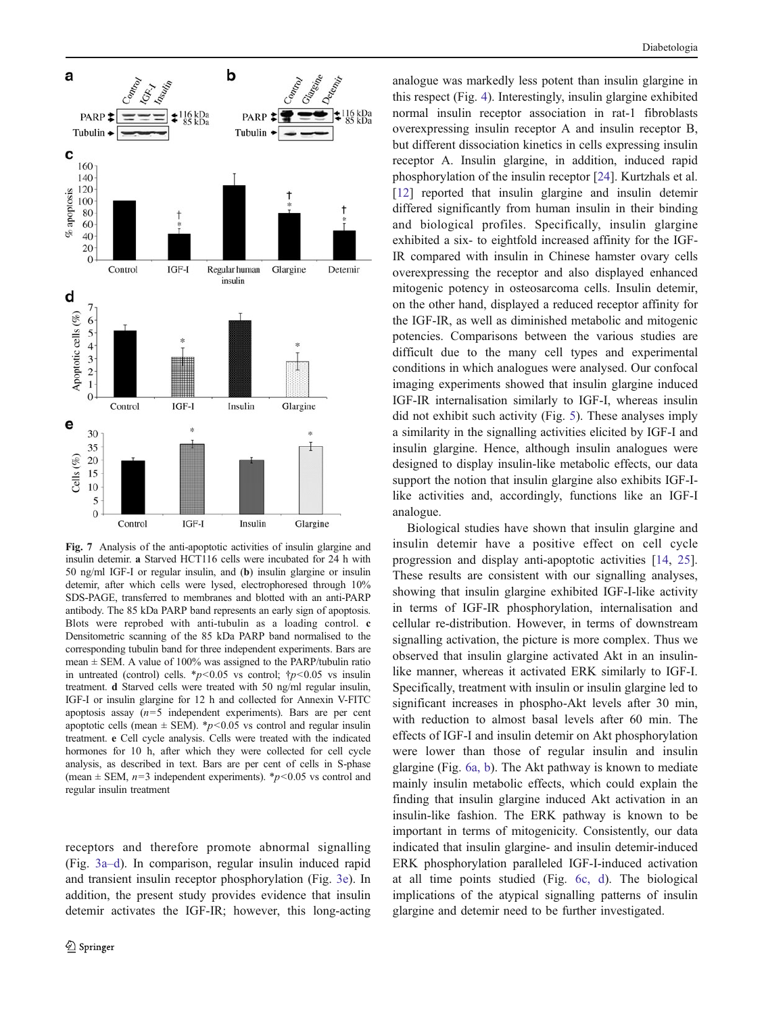<span id="page-7-0"></span>

Fig. 7 Analysis of the anti-apoptotic activities of insulin glargine and insulin detemir. a Starved HCT116 cells were incubated for 24 h with 50 ng/ml IGF-I or regular insulin, and (b) insulin glargine or insulin detemir, after which cells were lysed, electrophoresed through 10% SDS-PAGE, transferred to membranes and blotted with an anti-PARP antibody. The 85 kDa PARP band represents an early sign of apoptosis. Blots were reprobed with anti-tubulin as a loading control. c Densitometric scanning of the 85 kDa PARP band normalised to the corresponding tubulin band for three independent experiments. Bars are mean  $\pm$  SEM. A value of 100% was assigned to the PARP/tubulin ratio in untreated (control) cells. \*p<0.05 vs control;  $\uparrow p$  <0.05 vs insulin treatment. d Starved cells were treated with 50 ng/ml regular insulin, IGF-I or insulin glargine for 12 h and collected for Annexin V-FITC apoptosis assay  $(n=5$  independent experiments). Bars are per cent apoptotic cells (mean  $\pm$  SEM). \*p<0.05 vs control and regular insulin treatment. e Cell cycle analysis. Cells were treated with the indicated hormones for 10 h, after which they were collected for cell cycle analysis, as described in text. Bars are per cent of cells in S-phase (mean  $\pm$  SEM,  $n=3$  independent experiments). \*p<0.05 vs control and regular insulin treatment

receptors and therefore promote abnormal signalling (Fig. [3a](#page-4-0)–d). In comparison, regular insulin induced rapid and transient insulin receptor phosphorylation (Fig. [3e\)](#page-4-0). In addition, the present study provides evidence that insulin detemir activates the IGF-IR; however, this long-acting

analogue was markedly less potent than insulin glargine in this respect (Fig. [4](#page-5-0)). Interestingly, insulin glargine exhibited normal insulin receptor association in rat-1 fibroblasts overexpressing insulin receptor A and insulin receptor B, but different dissociation kinetics in cells expressing insulin receptor A. Insulin glargine, in addition, induced rapid phosphorylation of the insulin receptor [[24\]](#page-8-0). Kurtzhals et al. [\[12](#page-8-0)] reported that insulin glargine and insulin detemir differed significantly from human insulin in their binding and biological profiles. Specifically, insulin glargine exhibited a six- to eightfold increased affinity for the IGF-IR compared with insulin in Chinese hamster ovary cells overexpressing the receptor and also displayed enhanced mitogenic potency in osteosarcoma cells. Insulin detemir, on the other hand, displayed a reduced receptor affinity for the IGF-IR, as well as diminished metabolic and mitogenic potencies. Comparisons between the various studies are difficult due to the many cell types and experimental conditions in which analogues were analysed. Our confocal imaging experiments showed that insulin glargine induced IGF-IR internalisation similarly to IGF-I, whereas insulin did not exhibit such activity (Fig. [5](#page-5-0)). These analyses imply a similarity in the signalling activities elicited by IGF-I and insulin glargine. Hence, although insulin analogues were designed to display insulin-like metabolic effects, our data support the notion that insulin glargine also exhibits IGF-Ilike activities and, accordingly, functions like an IGF-I analogue.

Biological studies have shown that insulin glargine and insulin detemir have a positive effect on cell cycle progression and display anti-apoptotic activities [[14,](#page-8-0) [25\]](#page-8-0). These results are consistent with our signalling analyses, showing that insulin glargine exhibited IGF-I-like activity in terms of IGF-IR phosphorylation, internalisation and cellular re-distribution. However, in terms of downstream signalling activation, the picture is more complex. Thus we observed that insulin glargine activated Akt in an insulinlike manner, whereas it activated ERK similarly to IGF-I. Specifically, treatment with insulin or insulin glargine led to significant increases in phospho-Akt levels after 30 min, with reduction to almost basal levels after 60 min. The effects of IGF-I and insulin detemir on Akt phosphorylation were lower than those of regular insulin and insulin glargine (Fig. [6a, b\)](#page-6-0). The Akt pathway is known to mediate mainly insulin metabolic effects, which could explain the finding that insulin glargine induced Akt activation in an insulin-like fashion. The ERK pathway is known to be important in terms of mitogenicity. Consistently, our data indicated that insulin glargine- and insulin detemir-induced ERK phosphorylation paralleled IGF-I-induced activation at all time points studied (Fig. [6c, d\)](#page-6-0). The biological implications of the atypical signalling patterns of insulin glargine and detemir need to be further investigated.